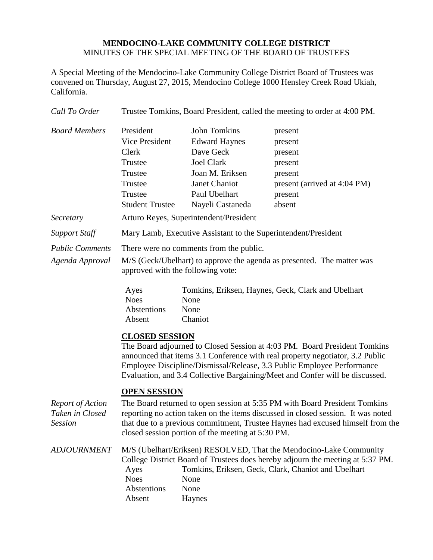## **MENDOCINO-LAKE COMMUNITY COLLEGE DISTRICT** MINUTES OF THE SPECIAL MEETING OF THE BOARD OF TRUSTEES

A Special Meeting of the Mendocino-Lake Community College District Board of Trustees was convened on Thursday, August 27, 2015, Mendocino College 1000 Hensley Creek Road Ukiah, California.

| Call To Order                                         | Trustee Tomkins, Board President, called the meeting to order at 4:00 PM.                                                                                                                                                                                                                                                                     |                                                                                                                                                        |                                                                                                          |
|-------------------------------------------------------|-----------------------------------------------------------------------------------------------------------------------------------------------------------------------------------------------------------------------------------------------------------------------------------------------------------------------------------------------|--------------------------------------------------------------------------------------------------------------------------------------------------------|----------------------------------------------------------------------------------------------------------|
| <b>Board Members</b>                                  | President<br>Vice President<br>Clerk<br>Trustee<br>Trustee<br>Trustee<br>Trustee<br><b>Student Trustee</b>                                                                                                                                                                                                                                    | <b>John Tomkins</b><br><b>Edward Haynes</b><br>Dave Geck<br><b>Joel Clark</b><br>Joan M. Eriksen<br>Janet Chaniot<br>Paul Ubelhart<br>Nayeli Castaneda | present<br>present<br>present<br>present<br>present<br>present (arrived at 4:04 PM)<br>present<br>absent |
| Secretary                                             | Arturo Reyes, Superintendent/President                                                                                                                                                                                                                                                                                                        |                                                                                                                                                        |                                                                                                          |
| <b>Support Staff</b>                                  | Mary Lamb, Executive Assistant to the Superintendent/President                                                                                                                                                                                                                                                                                |                                                                                                                                                        |                                                                                                          |
| <b>Public Comments</b><br>Agenda Approval             | There were no comments from the public.<br>M/S (Geck/Ubelhart) to approve the agenda as presented. The matter was<br>approved with the following vote:                                                                                                                                                                                        |                                                                                                                                                        |                                                                                                          |
|                                                       | Ayes<br><b>Noes</b><br>Abstentions<br>Absent                                                                                                                                                                                                                                                                                                  | None<br>None<br>Chaniot                                                                                                                                | Tomkins, Eriksen, Haynes, Geck, Clark and Ubelhart                                                       |
|                                                       | <b>CLOSED SESSION</b><br>The Board adjourned to Closed Session at 4:03 PM. Board President Tomkins<br>announced that items 3.1 Conference with real property negotiator, 3.2 Public<br>Employee Discipline/Dismissal/Release, 3.3 Public Employee Performance<br>Evaluation, and 3.4 Collective Bargaining/Meet and Confer will be discussed. |                                                                                                                                                        |                                                                                                          |
| <b>Report of Action</b><br>Taken in Closed<br>Session | <b>OPEN SESSION</b><br>The Board returned to open session at 5:35 PM with Board President Tomkins<br>reporting no action taken on the items discussed in closed session. It was noted<br>that due to a previous commitment, Trustee Haynes had excused himself from the<br>closed session portion of the meeting at 5:30 PM.                  |                                                                                                                                                        |                                                                                                          |
| <b>ADJOURNMENT</b>                                    | M/S (Ubelhart/Eriksen) RESOLVED, That the Mendocino-Lake Community<br>College District Board of Trustees does hereby adjourn the meeting at 5:37 PM.<br>Tomkins, Eriksen, Geck, Clark, Chaniot and Ubelhart<br>Ayes<br><b>Noes</b><br>None<br>Abstentions<br>None<br>Absent<br>Haynes                                                         |                                                                                                                                                        |                                                                                                          |